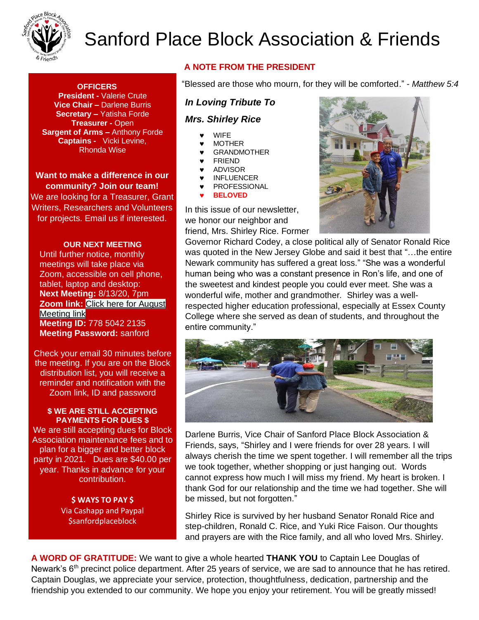

# Sanford Place Block Association & Friends

### **OFFICERS**

**President -** Valerie Crute **Vice Chair –** Darlene Burris **Secretary –** Yatisha Forde **Treasurer -** Open **Sargent of Arms –** Anthony Forde **Captains -** Vicki Levine, Rhonda Wise

**Want to make a difference in our community? Join our team!**

We are looking for a Treasurer, Grant Writers, Researchers and Volunteers for projects. Email us if interested.

#### **OUR NEXT MEETING**

Until further notice, monthly meetings will take place via Zoom, accessible on cell phone, tablet, laptop and desktop: **Next Meeting:** 8/13/20, 7pm **Zoom link:** [Click here for August](https://us04web.zoom.us/j/2544907895?pwd=ai9TbzA4NWx3WW1KUUJjc3BkVndKUT09#success)  [Meeting link](https://us04web.zoom.us/j/2544907895?pwd=ai9TbzA4NWx3WW1KUUJjc3BkVndKUT09#success) **Meeting ID:** 778 5042 2135 **Meeting Password:** sanford

Check your email 30 minutes before the meeting. If you are on the Block distribution list, you will receive a reminder and notification with the Zoom link, ID and password

#### **\$ WE ARE STILL ACCEPTING PAYMENTS FOR DUES \$**

We are still accepting dues for Block Association maintenance fees and to plan for a bigger and better block party in 2021. Dues are \$40.00 per year. Thanks in advance for your contribution.

> **\$ WAYS TO PAY \$** Via Cashapp and Paypal **\$sanfordplaceblock**

## **A NOTE FROM THE PRESIDENT**

"Blessed are those who mourn, for they will be comforted." - *Matthew 5:4*

## *In Loving Tribute To*

### *Mrs. Shirley Rice*

- WIFE
- **v** MOTHER
- **v** GRANDMOTHER<br>**v** FRIEND
- FRIEND
- ADVISOR
- **v** INFLUENCER **v** PROFESSIONAL
- **BELOVED**

In this issue of our newsletter, we honor our neighbor and friend, Mrs. Shirley Rice. Former



Governor Richard Codey, a close political ally of Senator Ronald Rice was quoted in the New Jersey Globe and said it best that "…the entire Newark community has suffered a great loss." "She was a wonderful human being who was a constant presence in Ron's life, and one of the sweetest and kindest people you could ever meet. She was a wonderful wife, mother and grandmother. Shirley was a wellrespected higher education professional, especially at Essex County College where she served as dean of students, and throughout the entire community."



Darlene Burris, Vice Chair of Sanford Place Block Association & Friends, says, "Shirley and I were friends for over 28 years. I will always cherish the time we spent together. I will remember all the trips we took together, whether shopping or just hanging out. Words cannot express how much I will miss my friend. My heart is broken. I thank God for our relationship and the time we had together. She will be missed, but not forgotten."

Shirley Rice is survived by her husband Senator Ronald Rice and step-children, Ronald C. Rice, and Yuki Rice Faison. Our thoughts and prayers are with the Rice family, and all who loved Mrs. Shirley.

**A WORD OF GRATITUDE:** We want to give a whole hearted **THANK YOU** to Captain Lee Douglas of Newark's 6<sup>th</sup> precinct police department. After 25 years of service, we are sad to announce that he has retired. Captain Douglas, we appreciate your service, protection, thoughtfulness, dedication, partnership and the friendship you extended to our community. We hope you enjoy your retirement. You will be greatly missed!